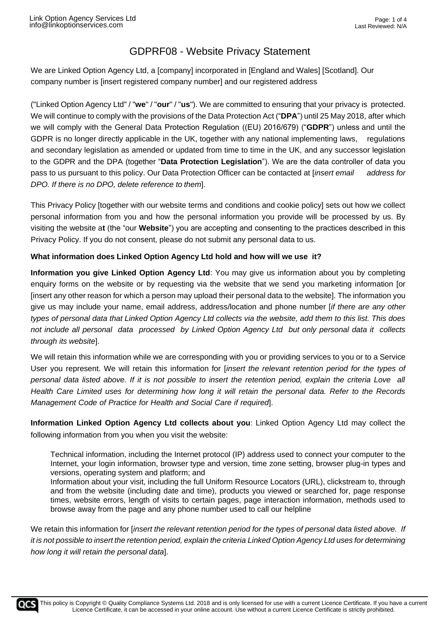We are Linked Option Agency Ltd, a [company] incorporated in [England and Wales] [Scotland]. Our company number is [insert registered company number] and our registered address

("Linked Option Agency Ltd" / "**we**" / "**our**" / "**us**"). We are committed to ensuring that your privacy is protected. We will continue to comply with the provisions of the Data Protection Act ("**DPA**") until 25 May 2018, after which we will comply with the General Data Protection Regulation ((EU) 2016/679) ("**GDPR**") unless and until the GDPR is no longer directly applicable in the UK, together with any national implementing laws, regulations and secondary legislation as amended or updated from time to time in the UK, and any successor legislation to the GDPR and the DPA (together "**Data Protection Legislation**"). We are the data controller of data you pass to us pursuant to this policy. Our Data Protection Officer can be contacted at [*insert email address for DPO. If there is no DPO, delete reference to them*].

This Privacy Policy [together with our website terms and conditions and cookie policy] sets out how we collect personal information from you and how the personal information you provide will be processed by us. By visiting the website a**t** (the "our **Website**") you are accepting and consenting to the practices described in this Privacy Policy. If you do not consent, please do not submit any personal data to us.

#### **What information does Linked Option Agency Ltd hold and how will we use it?**

**Information you give Linked Option Agency Ltd**: You may give us information about you by completing enquiry forms on the website or by requesting via the website that we send you marketing information [or [insert any other reason for which a person may upload their personal data to the website]. The information you give us may include your name, email address, address/location and phone number [*if there are any other types of personal data that Linked Option Agency Ltd collects via the website, add them to this list. This does not include all personal data processed by Linked Option Agency Ltd but only personal data it collects through its website*].

We will retain this information while we are corresponding with you or providing services to you or to a Service User you represent. We will retain this information for [*insert the relevant retention period for the types of personal data listed above. If it is not possible to insert the retention period, explain the criteria Love all Health Care Limited uses for determining how long it will retain the personal data. Refer to the Records Management Code of Practice for Health and Social Care if required*].

**Information Linked Option Agency Ltd collects about you**: Linked Option Agency Ltd may collect the following information from you when you visit the website:

Technical information, including the Internet protocol (IP) address used to connect your computer to the Internet, your login information, browser type and version, time zone setting, browser plug-in types and versions, operating system and platform; and

Information about your visit, including the full Uniform Resource Locators (URL), clickstream to, through and from the website (including date and time), products you viewed or searched for, page response times, website errors, length of visits to certain pages, page interaction information, methods used to browse away from the page and any phone number used to call our helpline

We retain this information for [*insert the relevant retention period for the types of personal data listed above. If it is not possible to insert the retention period, explain the criteria Linked Option Agency Ltd uses for determining how long it will retain the personal data*].

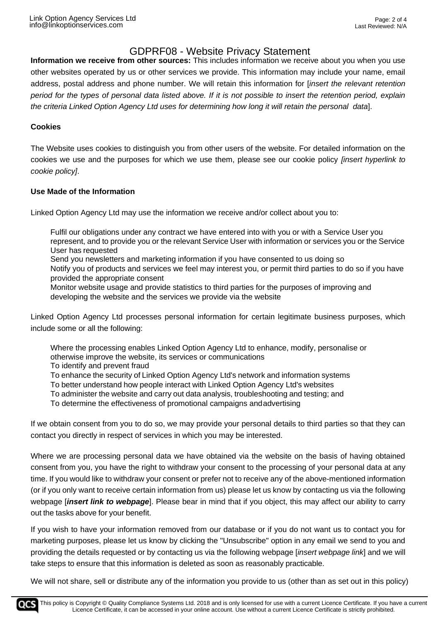**Information we receive from other sources:** This includes information we receive about you when you use other websites operated by us or other services we provide. This information may include your name, email address, postal address and phone number. We will retain this information for [*insert the relevant retention period for the types of personal data listed above. If it is not possible to insert the retention period, explain the criteria Linked Option Agency Ltd uses for determining how long it will retain the personal data*].

#### **Cookies**

The Website uses cookies to distinguish you from other users of the website. For detailed information on the cookies we use and the purposes for which we use them, please see our cookie policy *[insert hyperlink to cookie policy]*.

#### **Use Made of the Information**

Linked Option Agency Ltd may use the information we receive and/or collect about you to:

Fulfil our obligations under any contract we have entered into with you or with a Service User you represent, and to provide you or the relevant Service User with information or services you or the Service User has requested Send you newsletters and marketing information if you have consented to us doing so

Notify you of products and services we feel may interest you, or permit third parties to do so if you have provided the appropriate consent

Monitor website usage and provide statistics to third parties for the purposes of improving and developing the website and the services we provide via the website

Linked Option Agency Ltd processes personal information for certain legitimate business purposes, which include some or all the following:

Where the processing enables Linked Option Agency Ltd to enhance, modify, personalise or otherwise improve the website, its services or communications To identify and prevent fraud

To enhance the security of Linked Option Agency Ltd's network and information systems

To better understand how people interact with Linked Option Agency Ltd's websites

To administer the website and carry out data analysis, troubleshooting and testing; and

To determine the effectiveness of promotional campaigns andadvertising

If we obtain consent from you to do so, we may provide your personal details to third parties so that they can contact you directly in respect of services in which you may be interested.

Where we are processing personal data we have obtained via the website on the basis of having obtained consent from you, you have the right to withdraw your consent to the processing of your personal data at any time. If you would like to withdraw your consent or prefer not to receive any of the above-mentioned information (or if you only want to receive certain information from us) please let us know by contacting us via the following webpage [*insert link to webpage*]. Please bear in mind that if you object, this may affect our ability to carry out the tasks above for your benefit.

If you wish to have your information removed from our database or if you do not want us to contact you for marketing purposes, please let us know by clicking the "Unsubscribe" option in any email we send to you and providing the details requested or by contacting us via the following webpage [*insert webpage link*] and we will take steps to ensure that this information is deleted as soon as reasonably practicable.

We will not share, sell or distribute any of the information you provide to us (other than as set out in this policy)

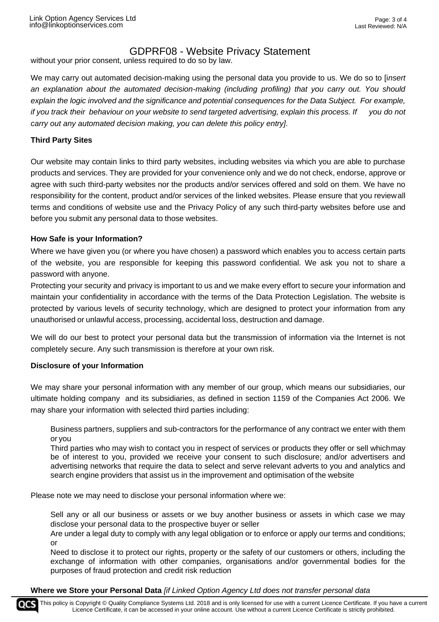without your prior consent, unless required to do so by law.

We may carry out automated decision-making using the personal data you provide to us. We do so to [i*nsert an explanation about the automated decision-making (including profiling) that you carry out. You should explain the logic involved and the significance and potential consequences for the Data Subject. For example, if you track their behaviour on your website to send targeted advertising, explain this process. If you do not carry out any automated decision making, you can delete this policy entry]*.

#### **Third Party Sites**

Our website may contain links to third party websites, including websites via which you are able to purchase products and services. They are provided for your convenience only and we do not check, endorse, approve or agree with such third-party websites nor the products and/or services offered and sold on them. We have no responsibility for the content, product and/or services of the linked websites. Please ensure that you reviewall terms and conditions of website use and the Privacy Policy of any such third-party websites before use and before you submit any personal data to those websites.

#### **How Safe is your Information?**

Where we have given you (or where you have chosen) a password which enables you to access certain parts of the website, you are responsible for keeping this password confidential. We ask you not to share a password with anyone.

Protecting your security and privacy is important to us and we make every effort to secure your information and maintain your confidentiality in accordance with the terms of the Data Protection Legislation. The website is protected by various levels of security technology, which are designed to protect your information from any unauthorised or unlawful access, processing, accidental loss, destruction and damage.

We will do our best to protect your personal data but the transmission of information via the Internet is not completely secure. Any such transmission is therefore at your own risk.

#### **Disclosure of your Information**

We may share your personal information with any member of our group, which means our subsidiaries, our ultimate holding company and its subsidiaries, as defined in section 1159 of the Companies Act 2006. We may share your information with selected third parties including:

Business partners, suppliers and sub-contractors for the performance of any contract we enter with them or you

Third parties who may wish to contact you in respect of services or products they offer or sell whichmay be of interest to you, provided we receive your consent to such disclosure; and/or advertisers and advertising networks that require the data to select and serve relevant adverts to you and analytics and search engine providers that assist us in the improvement and optimisation of the website

Please note we may need to disclose your personal information where we:

Sell any or all our business or assets or we buy another business or assets in which case we may disclose your personal data to the prospective buyer or seller

Are under a legal duty to comply with any legal obligation or to enforce or apply our terms and conditions; or

Need to disclose it to protect our rights, property or the safety of our customers or others, including the exchange of information with other companies, organisations and/or governmental bodies for the purposes of fraud protection and credit risk reduction

#### **Where we Store your Personal Data** *[if Linked Option Agency Ltd does not transfer personal data*